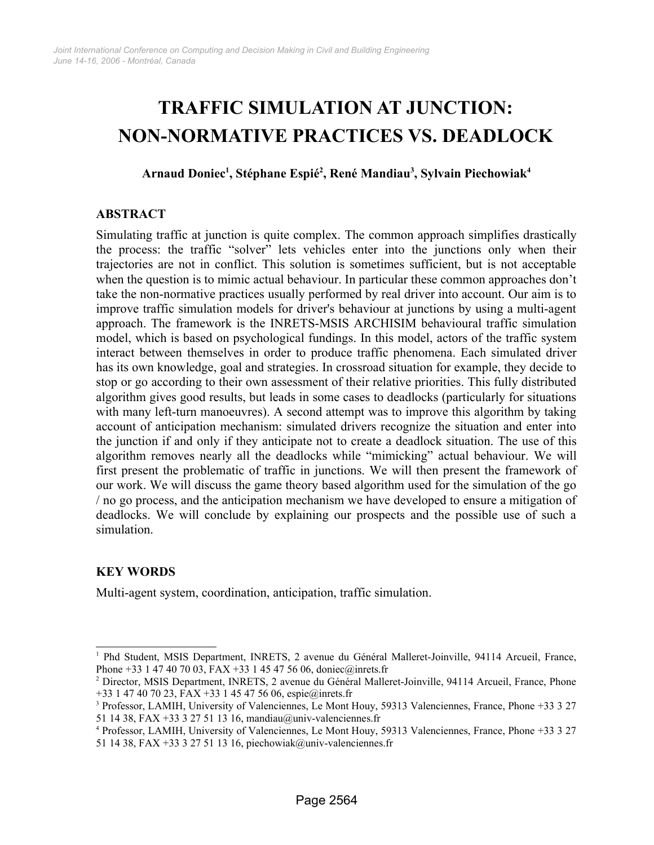# **TRAFFIC SIMULATION AT JUNCTION: NON-NORMATIVE PRACTICES VS. DEADLOCK**

**Arnaud Doniec [1](#page-0-0) , Stéphane Espié [2](#page-0-1) , René Mandiau[3](#page-0-2) , Sylvain Piechowiak[4](#page-0-3)**

## **ABSTRACT**

Simulating traffic at junction is quite complex. The common approach simplifies drastically the process: the traffic "solver" lets vehicles enter into the junctions only when their trajectories are not in conflict. This solution is sometimes sufficient, but is not acceptable when the question is to mimic actual behaviour. In particular these common approaches don't take the non-normative practices usually performed by real driver into account. Our aim is to improve traffic simulation models for driver's behaviour at junctions by using a multi-agent approach. The framework is the INRETS-MSIS ARCHISIM behavioural traffic simulation model, which is based on psychological fundings. In this model, actors of the traffic system interact between themselves in order to produce traffic phenomena. Each simulated driver has its own knowledge, goal and strategies. In crossroad situation for example, they decide to stop or go according to their own assessment of their relative priorities. This fully distributed algorithm gives good results, but leads in some cases to deadlocks (particularly for situations with many left-turn manoeuvres). A second attempt was to improve this algorithm by taking account of anticipation mechanism: simulated drivers recognize the situation and enter into the junction if and only if they anticipate not to create a deadlock situation. The use of this algorithm removes nearly all the deadlocks while "mimicking" actual behaviour. We will first present the problematic of traffic in junctions. We will then present the framework of our work. We will discuss the game theory based algorithm used for the simulation of the go / no go process, and the anticipation mechanism we have developed to ensure a mitigation of deadlocks. We will conclude by explaining our prospects and the possible use of such a simulation.

# **KEY WORDS**

Multi-agent system, coordination, anticipation, traffic simulation.

<span id="page-0-0"></span><sup>1</sup> Phd Student, MSIS Department, INRETS, 2 avenue du Général Malleret-Joinville, 94114 Arcueil, France, Phone +33 1 47 40 70 03, FAX +33 1 45 47 56 06, doniec@inrets.fr

<span id="page-0-1"></span><sup>2</sup> Director, MSIS Department, INRETS, 2 avenue du Général Malleret-Joinville, 94114 Arcueil, France, Phone +33 1 47 40 70 23, FAX +33 1 45 47 56 06, espie@inrets.fr

<span id="page-0-2"></span><sup>3</sup> Professor, LAMIH, University of Valenciennes, Le Mont Houy, 59313 Valenciennes, France, Phone +33 3 27 51 14 38, FAX +33 3 27 51 13 16, mandiau@univ-valenciennes.fr

<span id="page-0-3"></span><sup>4</sup> Professor, LAMIH, University of Valenciennes, Le Mont Houy, 59313 Valenciennes, France, Phone +33 3 27 51 14 38, FAX +33 3 27 51 13 16, piechowiak@univ-valenciennes.fr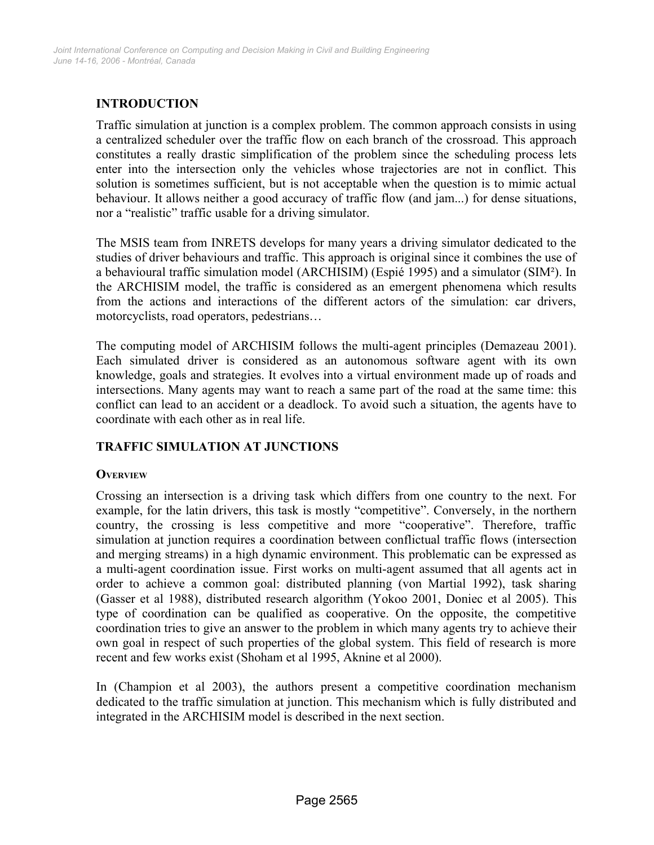# **INTRODUCTION**

Traffic simulation at junction is a complex problem. The common approach consists in using a centralized scheduler over the traffic flow on each branch of the crossroad. This approach constitutes a really drastic simplification of the problem since the scheduling process lets enter into the intersection only the vehicles whose trajectories are not in conflict. This solution is sometimes sufficient, but is not acceptable when the question is to mimic actual behaviour. It allows neither a good accuracy of traffic flow (and jam...) for dense situations, nor a "realistic" traffic usable for a driving simulator.

The MSIS team from INRETS develops for many years a driving simulator dedicated to the studies of driver behaviours and traffic. This approach is original since it combines the use of a behavioural traffic simulation model (ARCHISIM) (Espié 1995) and a simulator (SIM²). In the ARCHISIM model, the traffic is considered as an emergent phenomena which results from the actions and interactions of the different actors of the simulation: car drivers, motorcyclists, road operators, pedestrians…

The computing model of ARCHISIM follows the multi-agent principles (Demazeau 2001). Each simulated driver is considered as an autonomous software agent with its own knowledge, goals and strategies. It evolves into a virtual environment made up of roads and intersections. Many agents may want to reach a same part of the road at the same time: this conflict can lead to an accident or a deadlock. To avoid such a situation, the agents have to coordinate with each other as in real life.

# **TRAFFIC SIMULATION AT JUNCTIONS**

## **OVERVIEW**

Crossing an intersection is a driving task which differs from one country to the next. For example, for the latin drivers, this task is mostly "competitive". Conversely, in the northern country, the crossing is less competitive and more "cooperative". Therefore, traffic simulation at junction requires a coordination between conflictual traffic flows (intersection and merging streams) in a high dynamic environment. This problematic can be expressed as a multi-agent coordination issue. First works on multi-agent assumed that all agents act in order to achieve a common goal: distributed planning (von Martial 1992), task sharing (Gasser et al 1988), distributed research algorithm (Yokoo 2001, Doniec et al 2005). This type of coordination can be qualified as cooperative. On the opposite, the competitive coordination tries to give an answer to the problem in which many agents try to achieve their own goal in respect of such properties of the global system. This field of research is more recent and few works exist (Shoham et al 1995, Aknine et al 2000).

In (Champion et al 2003), the authors present a competitive coordination mechanism dedicated to the traffic simulation at junction. This mechanism which is fully distributed and integrated in the ARCHISIM model is described in the next section.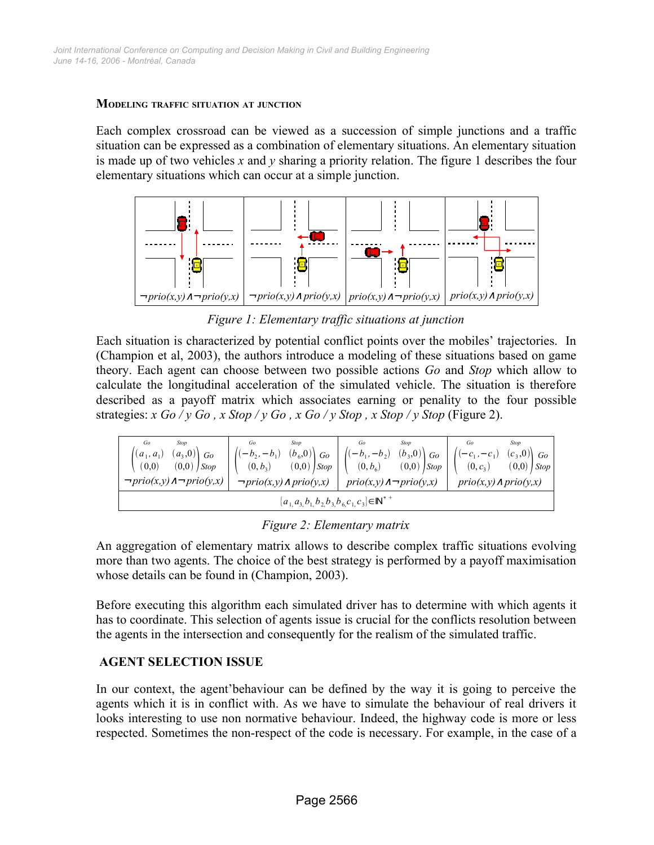#### **MODELING TRAFFIC SITUATION AT JUNCTION**

Each complex crossroad can be viewed as a succession of simple junctions and a traffic situation can be expressed as a combination of elementary situations. An elementary situation is made up of two vehicles *x* and *y* sharing a priority relation. The figure [1](#page-2-0) describes the four elementary situations which can occur at a simple junction.



<span id="page-2-0"></span>*Figure 1: Elementary traffic situations at junction*

Each situation is characterized by potential conflict points over the mobiles' trajectories. In (Champion et al, 2003), the authors introduce a modeling of these situations based on game theory. Each agent can choose between two possible actions *Go* and *Stop* which allow to calculate the longitudinal acceleration of the simulated vehicle. The situation is therefore described as a payoff matrix which associates earning or penality to the four possible strategies:  $x$  Go /  $y$  Go,  $x$  Stop /  $y$  Go,  $x$  Go /  $y$  Stop,  $x$  Stop /  $y$  Stop (Figure [2\)](#page-2-1).

| Go<br>Stop<br>$(a_3,0)$ Go<br>$(a_1, a_1)$<br>$(0,0)$ Stop<br>(0,0)<br>$\neg prio(x,y) \land \neg prio(y,x)$ | Go<br>Stop<br>$(b_6,0)$ Go<br>$- b_2,$<br>$-b_{1}$<br>$(0,0)$ Stop<br>$(0, b_3)$<br>$\neg prio(x,y) \land prio(y,x)$ | Go<br>Stop<br>$(b_3,0)$ Go<br>$(-b_1, -b_2)$<br>$(0,0)$ Stop<br>$(0, b_6)$<br>$prio(x,y) \land \neg prio(y,x)$ | Go<br><b>Stop</b><br>$(c_3,0)$ Go<br>$-c_{1}$<br>$-c_1$ ,<br>$(0,0)$   Stop  <br>$(0, c_3)$<br>$prio(x,y) \wedge prio(y,x)$ |  |  |
|--------------------------------------------------------------------------------------------------------------|----------------------------------------------------------------------------------------------------------------------|----------------------------------------------------------------------------------------------------------------|-----------------------------------------------------------------------------------------------------------------------------|--|--|
| $\{a_{1,}a_{3,}b_{1,}b_{2,}b_{3,}b_{6,}c_{1,}c_{3}\}\in\mathbb{N}^{*+}$                                      |                                                                                                                      |                                                                                                                |                                                                                                                             |  |  |

<span id="page-2-1"></span>*Figure 2: Elementary matrix*

An aggregation of elementary matrix allows to describe complex traffic situations evolving more than two agents. The choice of the best strategy is performed by a payoff maximisation whose details can be found in (Champion, 2003).

Before executing this algorithm each simulated driver has to determine with which agents it has to coordinate. This selection of agents issue is crucial for the conflicts resolution between the agents in the intersection and consequently for the realism of the simulated traffic.

## **AGENT SELECTION ISSUE**

In our context, the agent'behaviour can be defined by the way it is going to perceive the agents which it is in conflict with. As we have to simulate the behaviour of real drivers it looks interesting to use non normative behaviour. Indeed, the highway code is more or less respected. Sometimes the non-respect of the code is necessary. For example, in the case of a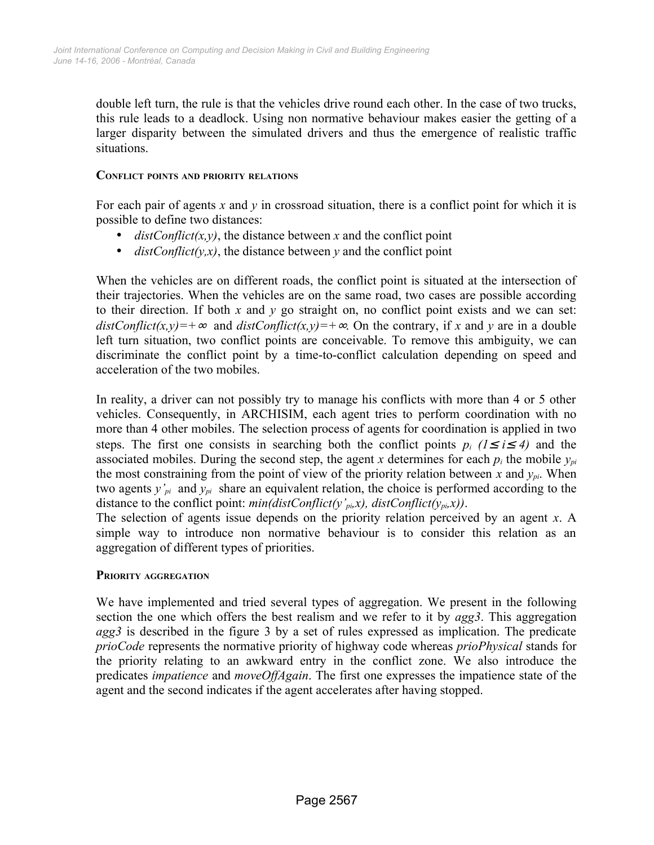double left turn, the rule is that the vehicles drive round each other. In the case of two trucks, this rule leads to a deadlock. Using non normative behaviour makes easier the getting of a larger disparity between the simulated drivers and thus the emergence of realistic traffic situations.

#### **CONFLICT POINTS AND PRIORITY RELATIONS**

For each pair of agents  $x$  and  $y$  in crossroad situation, there is a conflict point for which it is possible to define two distances:

- $distConflict(x, y)$ , the distance between x and the conflict point
- *distConflict(y,x)*, the distance between *y* and the conflict point

When the vehicles are on different roads, the conflict point is situated at the intersection of their trajectories. When the vehicles are on the same road, two cases are possible according to their direction. If both *x* and *y* go straight on, no conflict point exists and we can set:  $distConflict(x, y) = +\infty$  and  $distConflict(x, y) = +\infty$ . On the contrary, if *x* and *y* are in a double left turn situation, two conflict points are conceivable. To remove this ambiguity, we can discriminate the conflict point by a time-to-conflict calculation depending on speed and acceleration of the two mobiles.

In reality, a driver can not possibly try to manage his conflicts with more than 4 or 5 other vehicles. Consequently, in ARCHISIM, each agent tries to perform coordination with no more than 4 other mobiles. The selection process of agents for coordination is applied in two steps. The first one consists in searching both the conflict points  $p_i$  ( $1 \le i \le 4$ ) and the associated mobiles. During the second step, the agent *x* determines for each  $p_i$  the mobile  $y_{pi}$ the most constraining from the point of view of the priority relation between  $\bar{x}$  and  $y_{\bar{p}i}$ . When two agents *y'pi* and *ypi* share an equivalent relation, the choice is performed according to the distance to the conflict point:  $min(distConflict(y')_{pi}x)$ ,  $distConflict(y_{pi}x)$ ).

The selection of agents issue depends on the priority relation perceived by an agent *x*. A simple way to introduce non normative behaviour is to consider this relation as an aggregation of different types of priorities.

## **PRIORITY AGGREGATION**

We have implemented and tried several types of aggregation. We present in the following section the one which offers the best realism and we refer to it by *agg3*. This aggregation *agg3* is described in the figure [3](#page-4-0) by a set of rules expressed as implication. The predicate *prioCode* represents the normative priority of highway code whereas *prioPhysical* stands for the priority relating to an awkward entry in the conflict zone. We also introduce the predicates *impatience* and *moveOffAgain*. The first one expresses the impatience state of the agent and the second indicates if the agent accelerates after having stopped.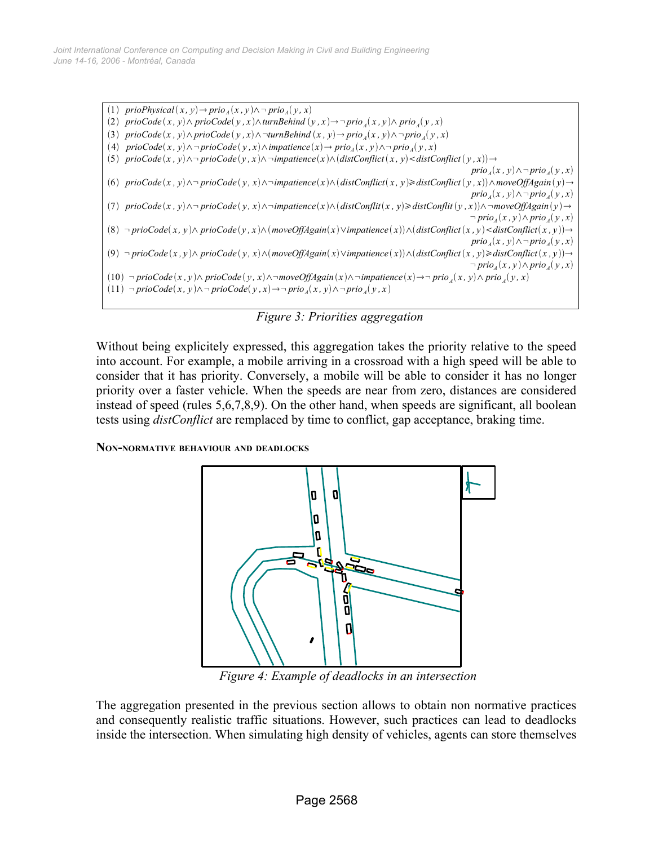$(1)$  *prioPhysical*  $(x, y) \rightarrow \text{prio}_A(x, y) \land \neg \text{prio}_A(y, x)$ (2)  $\text{prioCode}(x, y) \wedge \text{prioCode}(y, x) \wedge \text{turnBehind}(y, x) \rightarrow \neg \text{prio}_A(x, y) \wedge \text{prio}_A(y, x)$ (3)  $\text{prioCode}(x, y) \wedge \text{prioCode}(y, x) \wedge \neg \text{turnBehind}(x, y) \rightarrow \text{prio}_A(x, y) \wedge \neg \text{prio}_A(y, x)$  $(4)$  *prioCode* $(x, y) \land \neg \text{prioCode}(y, x) \land \text{impatience}(x) \rightarrow \text{prio}_A(x, y) \land \neg \text{prio}_A(y, x)$ 5)  $\text{prioCode}(x, y) \land \neg \text{prioCode}(y, x) \land \neg \text{impatience}(x) \land (\text{distConflict}(x, y) < \text{distConflict}(y, x)) \rightarrow$  $\text{prio}_A(x, y) \wedge \neg \text{prio}_A(y, x)$ (6) prioCode(x, y)  $\land \neg$  prioCode(y, x)  $\land \neg$  impatience(x)  $\land$  (distConflict(x, y) adistConflict(y, x))  $\land$  moveOffAgain(y)  $\rightarrow$  $\text{prio}_A(x, y) \wedge \neg \text{prio}_A(y, x)$ (7)  $\text{prioCode}(x, y) \land \neg \text{prioCode}(y, x) \land \neg \text{impatience}(x) \land (\text{distConflit}(x, y) \geq \text{distConflit}(y, x)) \land \neg \text{moveOffAgain}(y) \rightarrow \text{waveOffAgain}(y)$  $\neg prio_A(x, y) \wedge prio_A(y, x)$ (8)  $\neg \text{prioCode}(x, y) \land \text{prioCode}(y, x) \land (\text{moveOffAgain}(x) \lor \text{impatience}(x)) \land (\text{distConflict}(x, y) < \text{distConflict}(x, y)) \rightarrow$  $\text{prio}_A(x, y) \wedge \neg \text{prio}_A(y, x)$ (9)  $\neg$  prioCode(x, y) $\land$  prioCode(y, x) $\land$ (moveOffAgain(x) $\lor$ impatience(x)) $\land$ (distConflict(x, y) $\geq$ distConflict(x, y)) $\rightarrow$  $\neg prio_A(x, y) \wedge prio_A(y, x)$  $(10)$   $\neg$  prioCode $(x, y) \wedge$  prioCode $(y, x) \wedge \neg$ moveOffAgain $(x) \wedge \neg$ impatience $(x) \rightarrow \neg$  prio<sub>A</sub> $(x, y) \wedge$  prio<sub>A</sub> $(y, x)$  $(11)$  ¬  $prioCode(x, y) \land \neg prioCode(y, x) \rightarrow \neg prio_A(x, y) \land \neg prio_A(y, x)$ 

<span id="page-4-0"></span>*Figure 3: Priorities aggregation*

Without being explicitely expressed, this aggregation takes the priority relative to the speed into account. For example, a mobile arriving in a crossroad with a high speed will be able to consider that it has priority. Conversely, a mobile will be able to consider it has no longer priority over a faster vehicle. When the speeds are near from zero, distances are considered instead of speed (rules 5,6,7,8,9). On the other hand, when speeds are significant, all boolean tests using *distConflict* are remplaced by time to conflict, gap acceptance, braking time.

#### **NON-NORMATIVE BEHAVIOUR AND DEADLOCKS**



<span id="page-4-1"></span>*Figure 4: Example of deadlocks in an intersection*

The aggregation presented in the previous section allows to obtain non normative practices and consequently realistic traffic situations. However, such practices can lead to deadlocks inside the intersection. When simulating high density of vehicles, agents can store themselves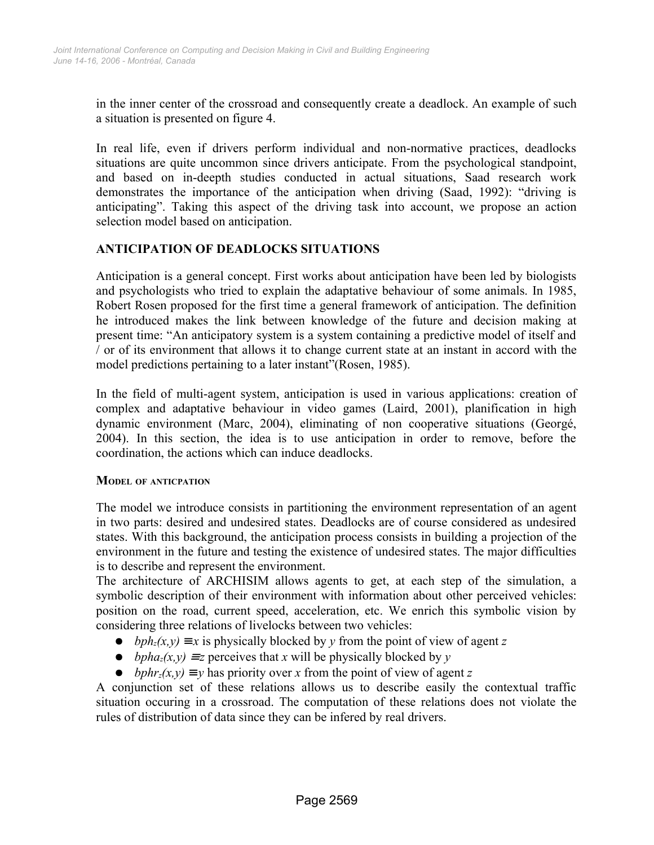in the inner center of the crossroad and consequently create a deadlock. An example of such a situation is presented on figure [4](#page-4-1).

In real life, even if drivers perform individual and non-normative practices, deadlocks situations are quite uncommon since drivers anticipate. From the psychological standpoint, and based on in-deepth studies conducted in actual situations, Saad research work demonstrates the importance of the anticipation when driving (Saad, 1992): "driving is anticipating". Taking this aspect of the driving task into account, we propose an action selection model based on anticipation.

## **ANTICIPATION OF DEADLOCKS SITUATIONS**

Anticipation is a general concept. First works about anticipation have been led by biologists and psychologists who tried to explain the adaptative behaviour of some animals. In 1985, Robert Rosen proposed for the first time a general framework of anticipation. The definition he introduced makes the link between knowledge of the future and decision making at present time: "An anticipatory system is a system containing a predictive model of itself and / or of its environment that allows it to change current state at an instant in accord with the model predictions pertaining to a later instant"(Rosen, 1985).

In the field of multi-agent system, anticipation is used in various applications: creation of complex and adaptative behaviour in video games (Laird, 2001), planification in high dynamic environment (Marc, 2004), eliminating of non cooperative situations (Georgé, 2004). In this section, the idea is to use anticipation in order to remove, before the coordination, the actions which can induce deadlocks.

#### **MODEL OF ANTICPATION**

The model we introduce consists in partitioning the environment representation of an agent in two parts: desired and undesired states. Deadlocks are of course considered as undesired states. With this background, the anticipation process consists in building a projection of the environment in the future and testing the existence of undesired states. The major difficulties is to describe and represent the environment.

The architecture of ARCHISIM allows agents to get, at each step of the simulation, a symbolic description of their environment with information about other perceived vehicles: position on the road, current speed, acceleration, etc. We enrich this symbolic vision by considering three relations of livelocks between two vehicles:

- $\bullet$  *bph<sub>z</sub>*(*x,y*) = *x* is physically blocked by *y* from the point of view of agent *z*
- *bpha<sub>z</sub>*(*x,y*)  $\equiv$  *z* perceives that *x* will be physically blocked by *y*
- $\bullet$  *bphr<sub>z</sub>*(*x,y*)  $\equiv$  *y* has priority over *x* from the point of view of agent *z*

A conjunction set of these relations allows us to describe easily the contextual traffic situation occuring in a crossroad. The computation of these relations does not violate the rules of distribution of data since they can be infered by real drivers.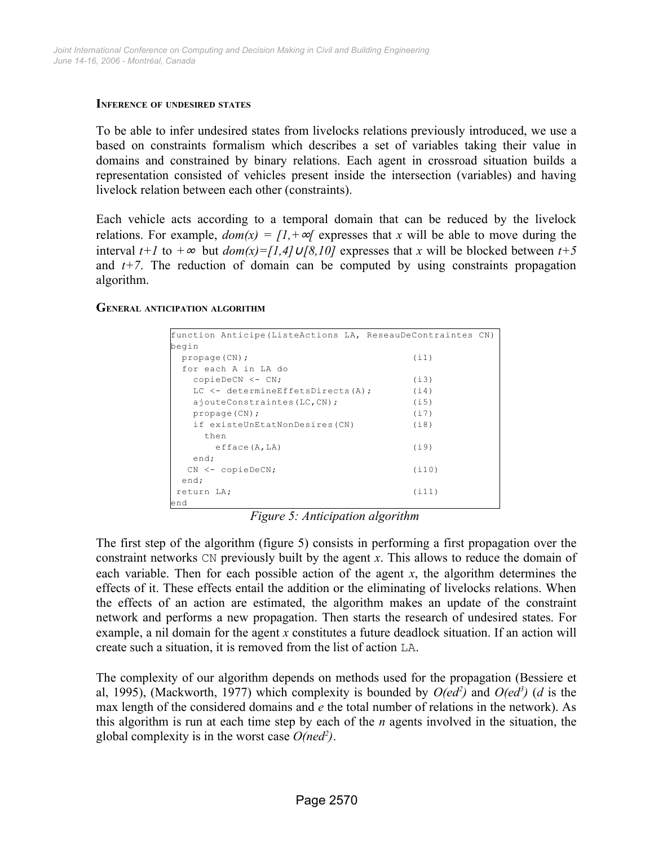#### **INFERENCE OF UNDESIRED STATES**

To be able to infer undesired states from livelocks relations previously introduced, we use a based on constraints formalism which describes a set of variables taking their value in domains and constrained by binary relations. Each agent in crossroad situation builds a representation consisted of vehicles present inside the intersection (variables) and having livelock relation between each other (constraints).

Each vehicle acts according to a temporal domain that can be reduced by the livelock relations. For example,  $dom(x) = [1, +\infty)$  expresses that x will be able to move during the interval *t+1* to *+*<sup>∞</sup> but *dom(x)=[1,4]*∪*[8,10]* expresses that *x* will be blocked between *t+5* and  $t+7$ . The reduction of domain can be computed by using constraints propagation algorithm.

#### **GENERAL ANTICIPATION ALGORITHM**

| function Anticipe (ListeActions LA, ReseauDeContraintes CN) |       |  |
|-------------------------------------------------------------|-------|--|
| begin                                                       |       |  |
| propage(CN);                                                | (i1)  |  |
| for each A in LA do                                         |       |  |
| copieDeCN <- CN;                                            | (i3)  |  |
| $LC \le -$ determine Effets Directs (A) ;                   | (i4)  |  |
| ajouteConstraintes (LC, CN);                                | (i5)  |  |
| propage(CN);                                                | (i7)  |  |
| if existeUnEtatNonDesires(CN)                               | (i8)  |  |
| then                                                        |       |  |
| efface(A,LA)                                                | (i9)  |  |
| end;                                                        |       |  |
| $CN < -$ copieDeCN;                                         | (i10) |  |
| end;                                                        |       |  |
| return LA;                                                  | (i11) |  |
| end                                                         |       |  |

<span id="page-6-0"></span>*Figure 5: Anticipation algorithm*

The first step of the algorithm (figure [5\)](#page-6-0) consists in performing a first propagation over the constraint networks CN previously built by the agent *x*. This allows to reduce the domain of each variable. Then for each possible action of the agent *x*, the algorithm determines the effects of it. These effects entail the addition or the eliminating of livelocks relations. When the effects of an action are estimated, the algorithm makes an update of the constraint network and performs a new propagation. Then starts the research of undesired states. For example, a nil domain for the agent *x* constitutes a future deadlock situation. If an action will create such a situation, it is removed from the list of action LA.

The complexity of our algorithm depends on methods used for the propagation (Bessiere et al, 1995), (Mackworth, 1977) which complexity is bounded by  $O(ed^2)$  and  $O(ed^3)$  (*d* is the max length of the considered domains and *e* the total number of relations in the network). As this algorithm is run at each time step by each of the *n* agents involved in the situation, the global complexity is in the worst case  $O(ned^2)$ .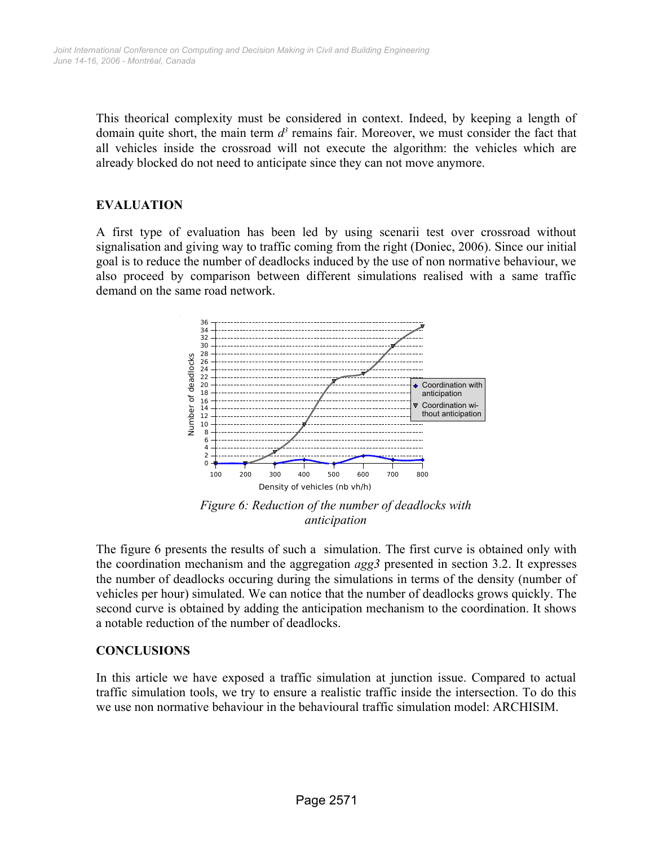This theorical complexity must be considered in context. Indeed, by keeping a length of domain quite short, the main term  $d^3$  remains fair. Moreover, we must consider the fact that all vehicles inside the crossroad will not execute the algorithm: the vehicles which are already blocked do not need to anticipate since they can not move anymore.

## **EVALUATION**

A first type of evaluation has been led by using scenarii test over crossroad without signalisation and giving way to traffic coming from the right (Doniec, 2006). Since our initial goal is to reduce the number of deadlocks induced by the use of non normative behaviour, we also proceed by comparison between different simulations realised with a same traffic demand on the same road network.



<span id="page-7-0"></span>*Figure 6: Reduction of the number of deadlocks with anticipation*

The figure [6](#page-7-0) presents the results of such a simulation. The first curve is obtained only with the coordination mechanism and the aggregation *agg3* presented in section 3.2. It expresses the number of deadlocks occuring during the simulations in terms of the density (number of vehicles per hour) simulated. We can notice that the number of deadlocks grows quickly. The second curve is obtained by adding the anticipation mechanism to the coordination. It shows a notable reduction of the number of deadlocks.

#### **CONCLUSIONS**

In this article we have exposed a traffic simulation at junction issue. Compared to actual traffic simulation tools, we try to ensure a realistic traffic inside the intersection. To do this we use non normative behaviour in the behavioural traffic simulation model: ARCHISIM.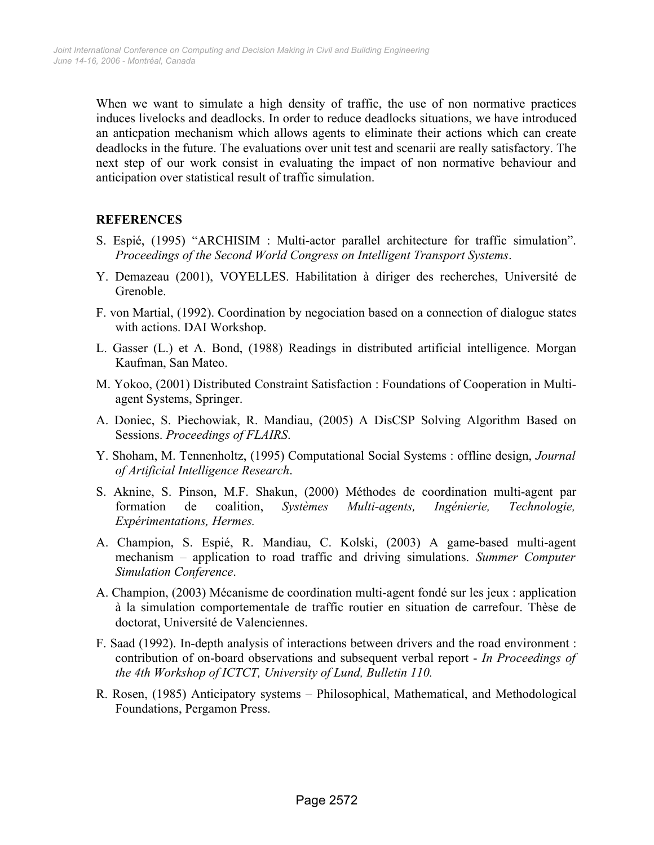When we want to simulate a high density of traffic, the use of non normative practices induces livelocks and deadlocks. In order to reduce deadlocks situations, we have introduced an anticpation mechanism which allows agents to eliminate their actions which can create deadlocks in the future. The evaluations over unit test and scenarii are really satisfactory. The next step of our work consist in evaluating the impact of non normative behaviour and anticipation over statistical result of traffic simulation.

# **REFERENCES**

- S. Espié, (1995) "ARCHISIM : Multi-actor parallel architecture for traffic simulation". *Proceedings of the Second World Congress on Intelligent Transport Systems*.
- Y. Demazeau (2001), VOYELLES. Habilitation à diriger des recherches, Université de Grenoble.
- F. von Martial, (1992). Coordination by negociation based on a connection of dialogue states with actions. DAI Workshop.
- L. Gasser (L.) et A. Bond, (1988) Readings in distributed artificial intelligence. Morgan Kaufman, San Mateo.
- M. Yokoo, (2001) Distributed Constraint Satisfaction : Foundations of Cooperation in Multiagent Systems, Springer.
- A. Doniec, S. Piechowiak, R. Mandiau, (2005) A DisCSP Solving Algorithm Based on Sessions. *Proceedings of FLAIRS*.
- Y. Shoham, M. Tennenholtz, (1995) Computational Social Systems : offline design, *Journal of Artificial Intelligence Research*.
- S. Aknine, S. Pinson, M.F. Shakun, (2000) Méthodes de coordination multi-agent par formation de coalition, *Systèmes Multi-agents, Ingénierie, Technologie, Expérimentations, Hermes.*
- A. Champion, S. Espié, R. Mandiau, C. Kolski, (2003) A game-based multi-agent mechanism – application to road traffic and driving simulations. *Summer Computer Simulation Conference*.
- A. Champion, (2003) Mécanisme de coordination multi-agent fondé sur les jeux : application à la simulation comportementale de traffic routier en situation de carrefour. Thèse de doctorat, Université de Valenciennes.
- F. Saad (1992). In-depth analysis of interactions between drivers and the road environment : contribution of on-board observations and subsequent verbal report - *In Proceedings of the 4th Workshop of ICTCT, University of Lund, Bulletin 110.*
- R. Rosen, (1985) Anticipatory systems Philosophical, Mathematical, and Methodological Foundations, Pergamon Press.